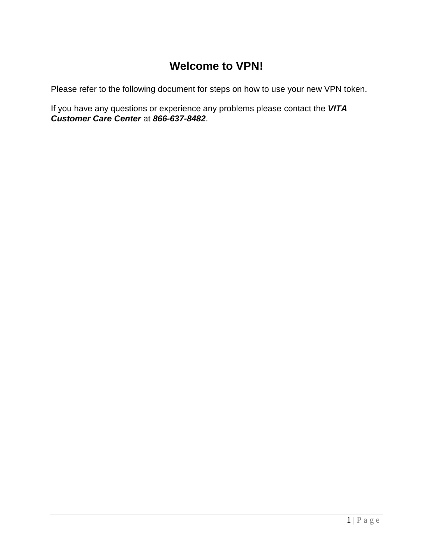## **Welcome to VPN!**

Please refer to the following document for steps on how to use your new VPN token.

If you have any questions or experience any problems please contact the *VITA Customer Care Center* at *866-637-8482*.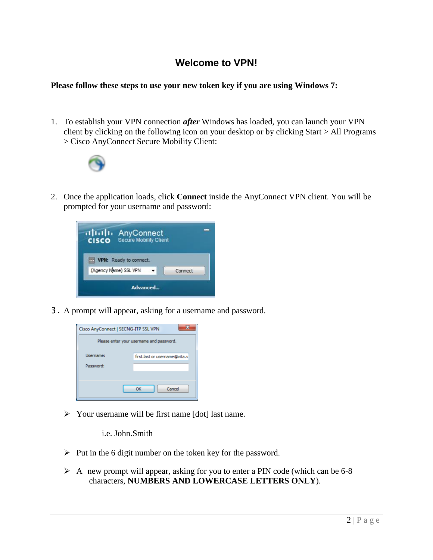## **Welcome to VPN!**

## **Please follow these steps to use your new token key if you are using Windows 7:**

1. To establish your VPN connection *after* Windows has loaded, you can launch your VPN client by clicking on the following icon on your desktop or by clicking Start > All Programs > Cisco AnyConnect Secure Mobility Client:



2. Once the application loads, click **Connect** inside the AnyConnect VPN client. You will be prompted for your username and password:

| attalla AnyConnect<br>Secure Mobility Client<br><b>CISCO</b> |         |
|--------------------------------------------------------------|---------|
| <b>VPN:</b> Ready to connect.<br>(Agency Name) SSL VPN       | Connect |
| Advanced                                                     |         |

3. A prompt will appear, asking for a username and password.



 $\triangleright$  Your username will be first name [dot] last name.

i.e. John.Smith

- $\triangleright$  Put in the 6 digit number on the token key for the password.
- $\triangleright$  A new prompt will appear, asking for you to enter a PIN code (which can be 6-8 characters, **NUMBERS AND LOWERCASE LETTERS ONLY**).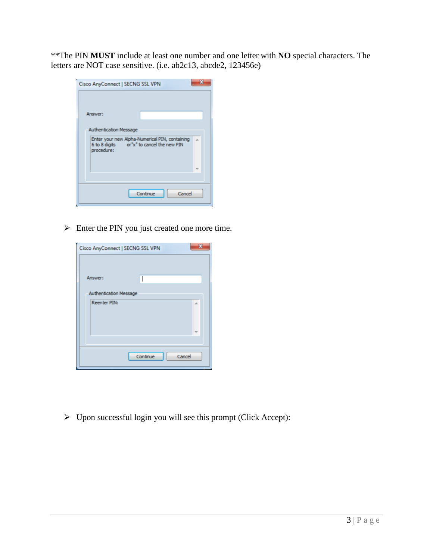\*\*The PIN **MUST** include at least one number and one letter with **NO** special characters. The letters are NOT case sensitive. (i.e. ab2c13, abcde2, 123456e)

| Cisco AnyConnect   SECNG SSL VPN                                                                                                           |        |  |
|--------------------------------------------------------------------------------------------------------------------------------------------|--------|--|
| Answer:                                                                                                                                    |        |  |
| <b>Authentication Message</b><br>Enter your new Alpha-Numerical PIN, containing<br>6 to 8 digits or"x" to cancel the new PIN<br>procedure: |        |  |
|                                                                                                                                            |        |  |
| Continue                                                                                                                                   | Cancel |  |

 $\triangleright$  Enter the PIN you just created one more time.

| Cisco AnyConnect   SECNG SSL VPN |                    |
|----------------------------------|--------------------|
| Answer:                          |                    |
| <b>Authentication Message</b>    |                    |
| <b>Reenter PIN:</b>              | A                  |
|                                  |                    |
|                                  | Continue<br>Cancel |

 $\triangleright$  Upon successful login you will see this prompt (Click Accept):